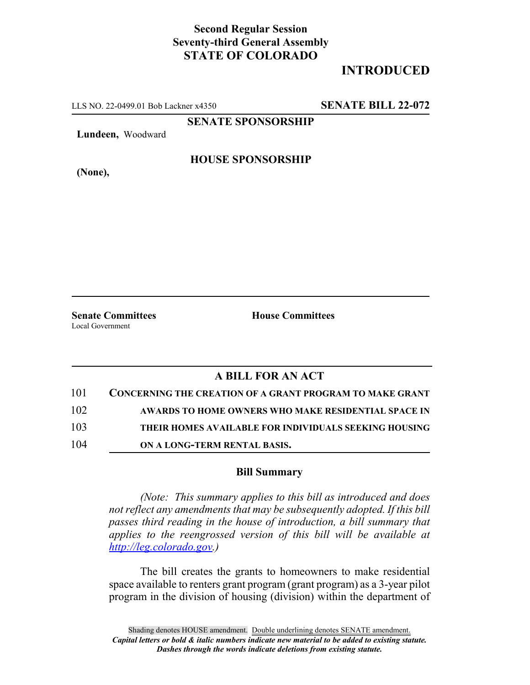## **Second Regular Session Seventy-third General Assembly STATE OF COLORADO**

## **INTRODUCED**

LLS NO. 22-0499.01 Bob Lackner x4350 **SENATE BILL 22-072**

**SENATE SPONSORSHIP**

**Lundeen,** Woodward

**HOUSE SPONSORSHIP**

**(None),**

**Senate Committees House Committees** Local Government

## **A BILL FOR AN ACT**

| 101 | <b>CONCERNING THE CREATION OF A GRANT PROGRAM TO MAKE GRANT</b> |
|-----|-----------------------------------------------------------------|
| 102 | AWARDS TO HOME OWNERS WHO MAKE RESIDENTIAL SPACE IN             |
| 103 | THEIR HOMES AVAILABLE FOR INDIVIDUALS SEEKING HOUSING           |
| 104 | ON A LONG-TERM RENTAL BASIS.                                    |

## **Bill Summary**

*(Note: This summary applies to this bill as introduced and does not reflect any amendments that may be subsequently adopted. If this bill passes third reading in the house of introduction, a bill summary that applies to the reengrossed version of this bill will be available at http://leg.colorado.gov.)*

The bill creates the grants to homeowners to make residential space available to renters grant program (grant program) as a 3-year pilot program in the division of housing (division) within the department of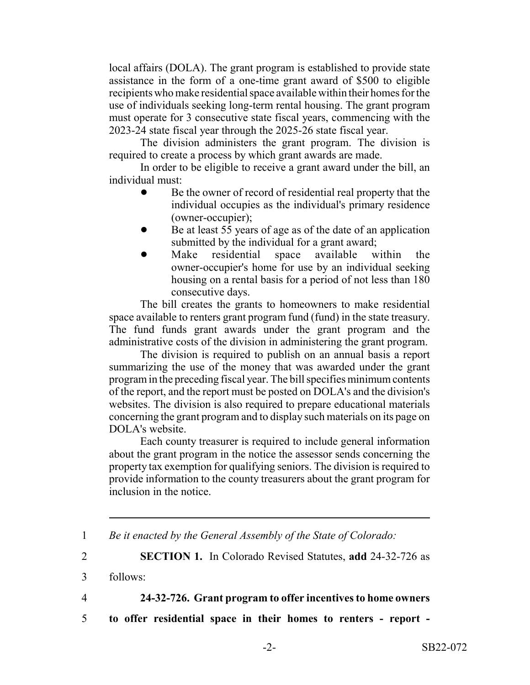local affairs (DOLA). The grant program is established to provide state assistance in the form of a one-time grant award of \$500 to eligible recipients who make residential space available within their homes for the use of individuals seeking long-term rental housing. The grant program must operate for 3 consecutive state fiscal years, commencing with the 2023-24 state fiscal year through the 2025-26 state fiscal year.

The division administers the grant program. The division is required to create a process by which grant awards are made.

In order to be eligible to receive a grant award under the bill, an individual must:

- Be the owner of record of residential real property that the individual occupies as the individual's primary residence (owner-occupier);
- Be at least 55 years of age as of the date of an application submitted by the individual for a grant award;
- Make residential space available within the owner-occupier's home for use by an individual seeking housing on a rental basis for a period of not less than 180 consecutive days.

The bill creates the grants to homeowners to make residential space available to renters grant program fund (fund) in the state treasury. The fund funds grant awards under the grant program and the administrative costs of the division in administering the grant program.

The division is required to publish on an annual basis a report summarizing the use of the money that was awarded under the grant program in the preceding fiscal year. The bill specifies minimum contents of the report, and the report must be posted on DOLA's and the division's websites. The division is also required to prepare educational materials concerning the grant program and to display such materials on its page on DOLA's website.

Each county treasurer is required to include general information about the grant program in the notice the assessor sends concerning the property tax exemption for qualifying seniors. The division is required to provide information to the county treasurers about the grant program for inclusion in the notice.

4 **24-32-726. Grant program to offer incentives to home owners**

5 **to offer residential space in their homes to renters - report -**

<sup>1</sup> *Be it enacted by the General Assembly of the State of Colorado:*

<sup>2</sup> **SECTION 1.** In Colorado Revised Statutes, **add** 24-32-726 as

<sup>3</sup> follows: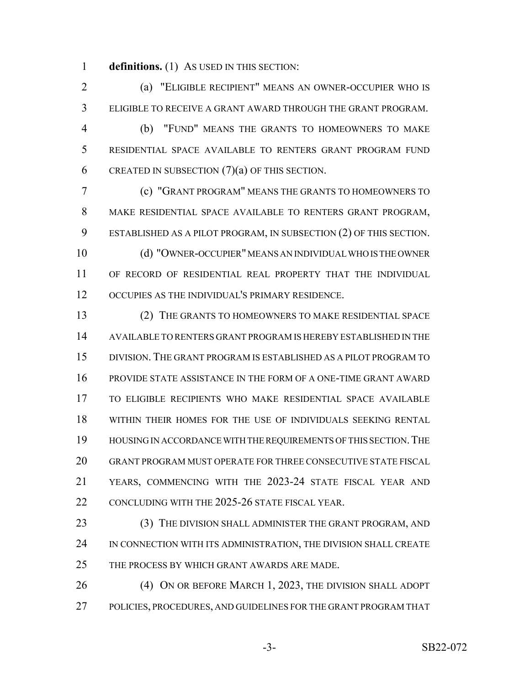**definitions.** (1) AS USED IN THIS SECTION:

 (a) "ELIGIBLE RECIPIENT" MEANS AN OWNER-OCCUPIER WHO IS ELIGIBLE TO RECEIVE A GRANT AWARD THROUGH THE GRANT PROGRAM. (b) "FUND" MEANS THE GRANTS TO HOMEOWNERS TO MAKE RESIDENTIAL SPACE AVAILABLE TO RENTERS GRANT PROGRAM FUND 6 CREATED IN SUBSECTION  $(7)(a)$  OF THIS SECTION.

 (c) "GRANT PROGRAM" MEANS THE GRANTS TO HOMEOWNERS TO MAKE RESIDENTIAL SPACE AVAILABLE TO RENTERS GRANT PROGRAM, ESTABLISHED AS A PILOT PROGRAM, IN SUBSECTION (2) OF THIS SECTION. (d) "OWNER-OCCUPIER" MEANS AN INDIVIDUAL WHO IS THE OWNER OF RECORD OF RESIDENTIAL REAL PROPERTY THAT THE INDIVIDUAL

OCCUPIES AS THE INDIVIDUAL'S PRIMARY RESIDENCE.

 (2) THE GRANTS TO HOMEOWNERS TO MAKE RESIDENTIAL SPACE AVAILABLE TO RENTERS GRANT PROGRAM IS HEREBY ESTABLISHED IN THE DIVISION. THE GRANT PROGRAM IS ESTABLISHED AS A PILOT PROGRAM TO PROVIDE STATE ASSISTANCE IN THE FORM OF A ONE-TIME GRANT AWARD TO ELIGIBLE RECIPIENTS WHO MAKE RESIDENTIAL SPACE AVAILABLE WITHIN THEIR HOMES FOR THE USE OF INDIVIDUALS SEEKING RENTAL HOUSING IN ACCORDANCE WITH THE REQUIREMENTS OF THIS SECTION.THE GRANT PROGRAM MUST OPERATE FOR THREE CONSECUTIVE STATE FISCAL YEARS, COMMENCING WITH THE 2023-24 STATE FISCAL YEAR AND 22 CONCLUDING WITH THE 2025-26 STATE FISCAL YEAR.

 (3) THE DIVISION SHALL ADMINISTER THE GRANT PROGRAM, AND IN CONNECTION WITH ITS ADMINISTRATION, THE DIVISION SHALL CREATE THE PROCESS BY WHICH GRANT AWARDS ARE MADE.

 (4) ON OR BEFORE MARCH 1, 2023, THE DIVISION SHALL ADOPT POLICIES, PROCEDURES, AND GUIDELINES FOR THE GRANT PROGRAM THAT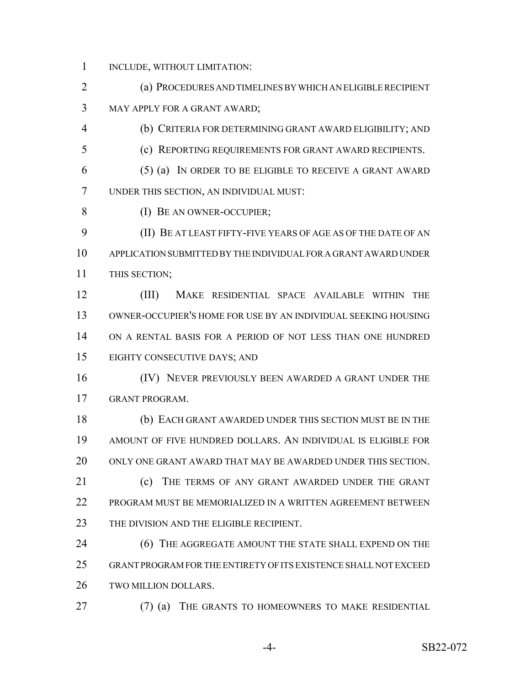INCLUDE, WITHOUT LIMITATION:

 (a) PROCEDURES AND TIMELINES BY WHICH AN ELIGIBLE RECIPIENT MAY APPLY FOR A GRANT AWARD;

(b) CRITERIA FOR DETERMINING GRANT AWARD ELIGIBILITY; AND

(c) REPORTING REQUIREMENTS FOR GRANT AWARD RECIPIENTS.

 (5) (a) IN ORDER TO BE ELIGIBLE TO RECEIVE A GRANT AWARD UNDER THIS SECTION, AN INDIVIDUAL MUST:

(I) BE AN OWNER-OCCUPIER;

 (II) BE AT LEAST FIFTY-FIVE YEARS OF AGE AS OF THE DATE OF AN APPLICATION SUBMITTED BY THE INDIVIDUAL FOR A GRANT AWARD UNDER THIS SECTION;

 (III) MAKE RESIDENTIAL SPACE AVAILABLE WITHIN THE OWNER-OCCUPIER'S HOME FOR USE BY AN INDIVIDUAL SEEKING HOUSING ON A RENTAL BASIS FOR A PERIOD OF NOT LESS THAN ONE HUNDRED EIGHTY CONSECUTIVE DAYS; AND

16 (IV) NEVER PREVIOUSLY BEEN AWARDED A GRANT UNDER THE GRANT PROGRAM.

 (b) EACH GRANT AWARDED UNDER THIS SECTION MUST BE IN THE AMOUNT OF FIVE HUNDRED DOLLARS. AN INDIVIDUAL IS ELIGIBLE FOR ONLY ONE GRANT AWARD THAT MAY BE AWARDED UNDER THIS SECTION.

21 (c) THE TERMS OF ANY GRANT AWARDED UNDER THE GRANT 22 PROGRAM MUST BE MEMORIALIZED IN A WRITTEN AGREEMENT BETWEEN 23 THE DIVISION AND THE ELIGIBLE RECIPIENT.

**(6) THE AGGREGATE AMOUNT THE STATE SHALL EXPEND ON THE**  GRANT PROGRAM FOR THE ENTIRETY OF ITS EXISTENCE SHALL NOT EXCEED TWO MILLION DOLLARS.

(7) (a) THE GRANTS TO HOMEOWNERS TO MAKE RESIDENTIAL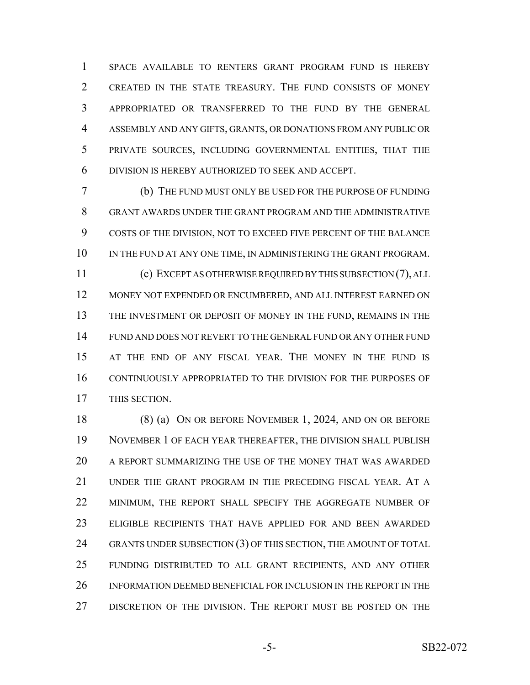SPACE AVAILABLE TO RENTERS GRANT PROGRAM FUND IS HEREBY CREATED IN THE STATE TREASURY. THE FUND CONSISTS OF MONEY APPROPRIATED OR TRANSFERRED TO THE FUND BY THE GENERAL ASSEMBLY AND ANY GIFTS, GRANTS, OR DONATIONS FROM ANY PUBLIC OR PRIVATE SOURCES, INCLUDING GOVERNMENTAL ENTITIES, THAT THE DIVISION IS HEREBY AUTHORIZED TO SEEK AND ACCEPT.

 (b) THE FUND MUST ONLY BE USED FOR THE PURPOSE OF FUNDING GRANT AWARDS UNDER THE GRANT PROGRAM AND THE ADMINISTRATIVE COSTS OF THE DIVISION, NOT TO EXCEED FIVE PERCENT OF THE BALANCE 10 IN THE FUND AT ANY ONE TIME, IN ADMINISTERING THE GRANT PROGRAM. (c) EXCEPT AS OTHERWISE REQUIRED BY THIS SUBSECTION (7), ALL MONEY NOT EXPENDED OR ENCUMBERED, AND ALL INTEREST EARNED ON THE INVESTMENT OR DEPOSIT OF MONEY IN THE FUND, REMAINS IN THE FUND AND DOES NOT REVERT TO THE GENERAL FUND OR ANY OTHER FUND AT THE END OF ANY FISCAL YEAR. THE MONEY IN THE FUND IS CONTINUOUSLY APPROPRIATED TO THE DIVISION FOR THE PURPOSES OF THIS SECTION.

 (8) (a) ON OR BEFORE NOVEMBER 1, 2024, AND ON OR BEFORE NOVEMBER 1 OF EACH YEAR THEREAFTER, THE DIVISION SHALL PUBLISH A REPORT SUMMARIZING THE USE OF THE MONEY THAT WAS AWARDED UNDER THE GRANT PROGRAM IN THE PRECEDING FISCAL YEAR. AT A MINIMUM, THE REPORT SHALL SPECIFY THE AGGREGATE NUMBER OF ELIGIBLE RECIPIENTS THAT HAVE APPLIED FOR AND BEEN AWARDED 24 GRANTS UNDER SUBSECTION (3) OF THIS SECTION, THE AMOUNT OF TOTAL FUNDING DISTRIBUTED TO ALL GRANT RECIPIENTS, AND ANY OTHER INFORMATION DEEMED BENEFICIAL FOR INCLUSION IN THE REPORT IN THE DISCRETION OF THE DIVISION. THE REPORT MUST BE POSTED ON THE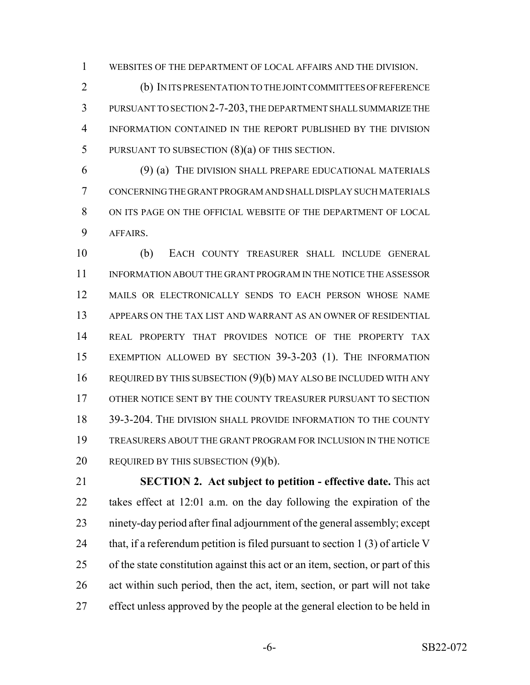WEBSITES OF THE DEPARTMENT OF LOCAL AFFAIRS AND THE DIVISION.

 (b) IN ITS PRESENTATION TO THE JOINT COMMITTEES OF REFERENCE PURSUANT TO SECTION 2-7-203, THE DEPARTMENT SHALL SUMMARIZE THE INFORMATION CONTAINED IN THE REPORT PUBLISHED BY THE DIVISION 5 PURSUANT TO SUBSECTION  $(8)(a)$  OF THIS SECTION.

 (9) (a) THE DIVISION SHALL PREPARE EDUCATIONAL MATERIALS CONCERNING THE GRANT PROGRAM AND SHALL DISPLAY SUCH MATERIALS ON ITS PAGE ON THE OFFICIAL WEBSITE OF THE DEPARTMENT OF LOCAL AFFAIRS.

 (b) EACH COUNTY TREASURER SHALL INCLUDE GENERAL INFORMATION ABOUT THE GRANT PROGRAM IN THE NOTICE THE ASSESSOR MAILS OR ELECTRONICALLY SENDS TO EACH PERSON WHOSE NAME APPEARS ON THE TAX LIST AND WARRANT AS AN OWNER OF RESIDENTIAL REAL PROPERTY THAT PROVIDES NOTICE OF THE PROPERTY TAX EXEMPTION ALLOWED BY SECTION 39-3-203 (1). THE INFORMATION REQUIRED BY THIS SUBSECTION (9)(b) MAY ALSO BE INCLUDED WITH ANY OTHER NOTICE SENT BY THE COUNTY TREASURER PURSUANT TO SECTION 39-3-204. THE DIVISION SHALL PROVIDE INFORMATION TO THE COUNTY TREASURERS ABOUT THE GRANT PROGRAM FOR INCLUSION IN THE NOTICE 20 REQUIRED BY THIS SUBSECTION (9)(b).

 **SECTION 2. Act subject to petition - effective date.** This act takes effect at 12:01 a.m. on the day following the expiration of the ninety-day period after final adjournment of the general assembly; except 24 that, if a referendum petition is filed pursuant to section  $1(3)$  of article V of the state constitution against this act or an item, section, or part of this act within such period, then the act, item, section, or part will not take effect unless approved by the people at the general election to be held in

-6- SB22-072